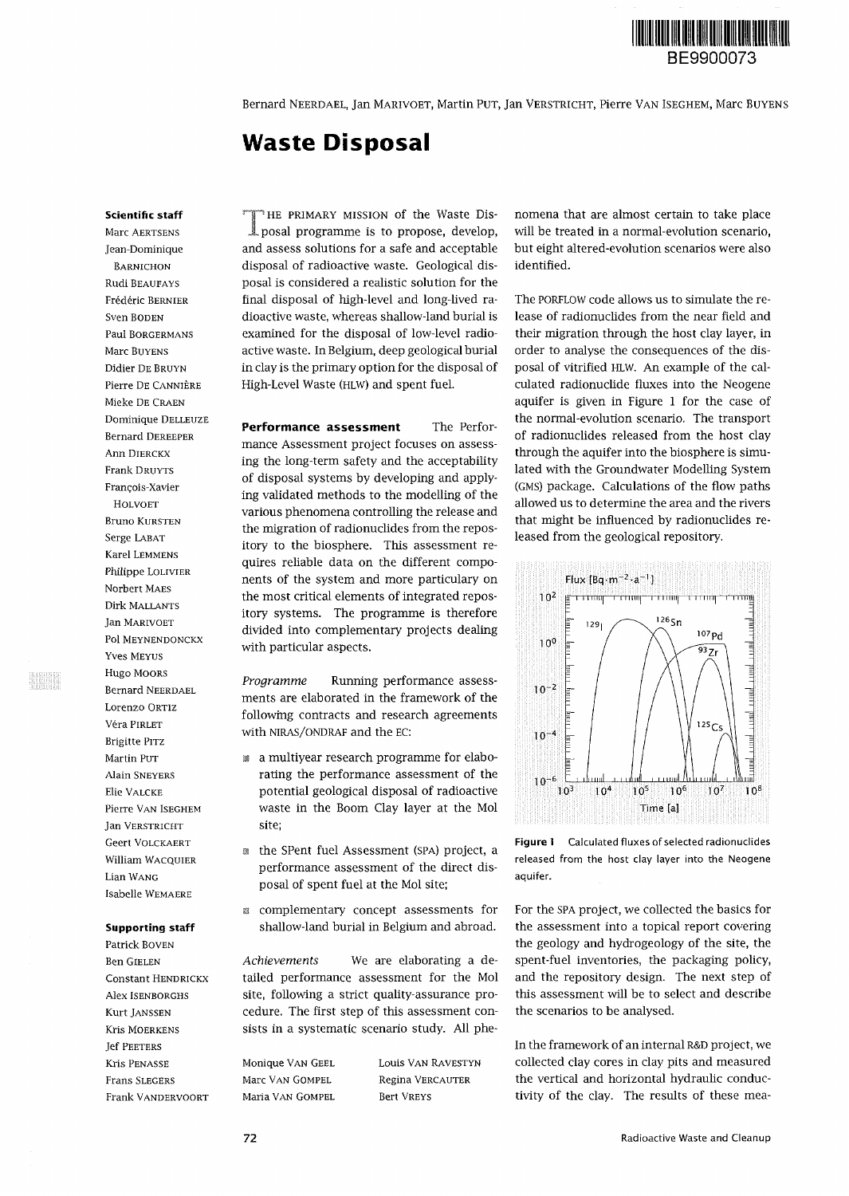

Bernard NEERDAEL, Jan MARIVOET, Martin PUT, Jan VERSTRICHT, Pierre VAN ISEGHEM, Marc BUYENS

# **Waste Disposal**

#### **Scientific staff**

Marc AERTSENS Jean-Dominique BARNICHON Rudi BEAUFAYS Frédéric BERNIER Sven BODEN Paul BORGERMANS Marc BUYENS Didier DE BRUYN Pierre DE CANNIÈRE Mieke DE CRAEN Dominique DELLEUZE Bernard DEREEPER Ann DIERCKX Frank DRUYTS François-Xavier HOLVOET Bruno KURSTEN Serge LABAT Karel LEMMENS Philippe LOLIVIER Norbert MAES Dirk MALLANTS Jan MARIVOET Pol MEYNENDONCKX Yves MEYUS Hugo MOORS Bernard NEERDAEL Lorenzo ORTIZ Vera PIRLET Brigitte PITZ Martin PUT Alain SNEYERS Elie VALCKE Pierre VAN ISEGHEM Jan VERSTRICHT Geert VOLCKAERT William WACQUIER Lian WANG Isabelle WEMAERE

# **Supporting staff**

Patrick BOVEN Ben GIELEN Constant HENDRICKX Alex ISENBORGHS Kurt JANSSEN Kris MOERKENS Jef PEETERS Kris PENASSE Frans SLEGERS Frank VANDERVOORT

THE PRIMARY MISSION of the Waste Disposal programme is to propose, develop, -HE PRIMARY MISSION of the Waste Disand assess solutions for a safe and acceptable disposal of radioactive waste. Geological disposal is considered a realistic solution for the final disposal of high-level and long-lived radioactive waste, whereas shallow-land burial is examined for the disposal of low-level radioactive waste. In Belgium, deep geological burial in clay is the primary option for the disposal of High-Level Waste (HLW) and spent fuel.

**Performance assessment** The Performance Assessment project focuses on assessing the long-term safety and the acceptability of disposal systems by developing and applying validated methods to the modelling of the various phenomena controlling the release and the migration of radionuclides from the repository to the biosphere. This assessment requires reliable data on the different components of the system and more particulary on the most critical elements of integrated repository systems. The programme is therefore divided into complementary projects dealing with particular aspects.

*Programme* Running performance assessments are elaborated in the framework of the following contracts and research agreements with NIRAS/ONDRAF and the EC:

- a multiyear research programme for elaborating the performance assessment of the potential geological disposal of radioactive waste in the Boom Clay layer at the Mol site;
- the SPent fuel Assessment (SPA) project, a performance assessment of the direct disposal of spent fuel at the Mol site;
- » complementary concept assessments for shallow-land burial in Belgium and abroad.

*Achievements* We are elaborating a detailed performance assessment for the Mol site, following a strict quality-assurance procedure. The first step of this assessment consists in a systematic scenario study. All phe-

Monique VAN GEEL Marc VAN GOMPEL Maria VAN GOMPEL Louis VAN RAVESTYN Regina VERCAUTER Bert VREYS

nomena that are almost certain to take place will be treated in a normal-evolution scenario, but eight altered-evolution scenarios were also identified.

The PORFLOW code allows us to simulate the release of radionuclides from the near field and their migration through the host clay layer, in order to analyse the consequences of the disposal of vitrified HLW. An example of the calculated radionuclide fluxes into the Neogene aquifer is given in Figure 1 for the case of the normal-evolution scenario. The transport of radionuclides released from the host clay through the aquifer into the biosphere is simulated with the Groundwater Modelling System (GMS) package. Calculations of the flow paths allowed us to determine the area and the rivers that might be influenced by radionuclides released from the geological repository.



**Figure 1** Calculated fluxes of selected radionuclides released from the host clay layer into the Neogene aquifer.

For the SPA project, we collected the basics for the assessment into a topical report covering the geology and hydrogeology of the site, the spent-fuel inventories, the packaging policy, and the repository design. The next step of this assessment will be to select and describe the scenarios to be analysed.

In the framework of an internal R&D project, we collected clay cores in clay pits and measured the vertical and horizontal hydraulic conductivity of the clay. The results of these mea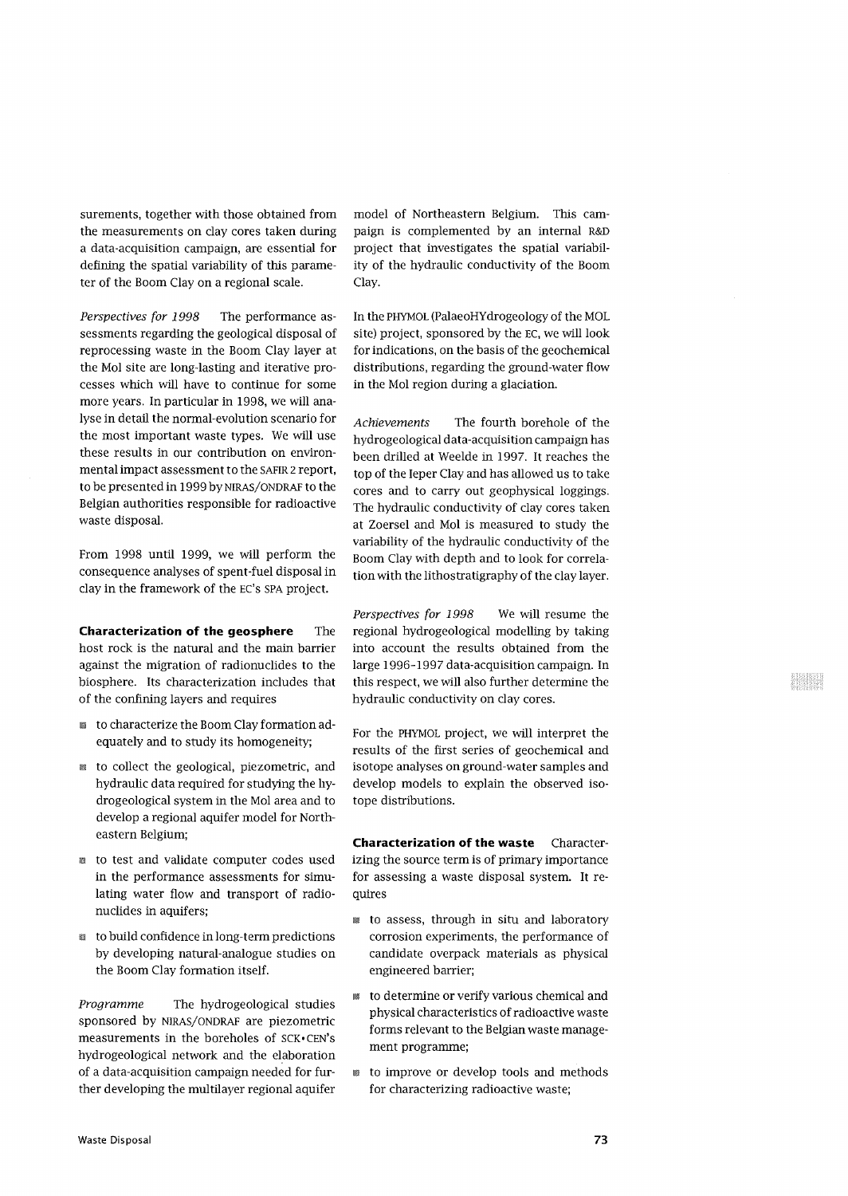surements, together with those obtained from the measurements on clay cores taken during a data-acquisition campaign, are essential for defining the spatial variability of this parameter of the Boom Clay on a regional scale.

*Perspectives for 1998* The performance assessments regarding the geological disposal of reprocessing waste in the Boom Clay layer at the Mol site are long-lasting and iterative processes which will have to continue for some more years. In particular in 1998, we will analyse in detail the normal-evolution scenario for the most important waste types. We will use these results in our contribution on environmental impact assessment to the SAFIR 2 report, to be presented in 1999 by NIRAS/ONDRAF to the Belgian authorities responsible for radioactive waste disposal.

From 1998 until 1999, we will perform the consequence analyses of spent-fuel disposal in clay in the framework of the EC's SPA project.

**Characterization of the geosphere The** host rock is the natural and the main barrier against the migration of radionuclides to the biosphere. Its characterization includes that of the confining layers and requires

- to characterize the Boom Clay formation adequately and to study its homogeneity;
- to collect the geological, piezometric, and hydraulic data required for studying the hydrogeological system in the Mol area and to develop a regional aquifer model for Northeastern Belgium;
- to test and validate computer codes used in the performance assessments for simulating water flow and transport of radionuclides in aquifers;
- to build confidence in long-term predictions by developing natural-analogue studies on the Boom Clay formation itself.

*Programme* The hydrogeological studies sponsored by NIRAS/ONDRAF are piezometric measurements in the boreholes of SCK. CEN's hydrogeological network and the elaboration of a data-acquisition campaign needed for further developing the multilayer regional aquifer model of Northeastern Belgium. This campaign is complemented by an internal R&D project that investigates the spatial variability of the hydraulic conductivity of the Boom Clay.

In the PHYMOL (PalaeoHYdrogeology of the MOL site) project, sponsored by the EC, we will look for indications, on the basis of the geochemical distributions, regarding the ground-water flow in the Mol region during a glaciation.

*Achievements* The fourth borehole of the hydrogeological data-acquisition campaign has been drilled at Weelde in 1997. It reaches the top of the leper Clay and has allowed us to take cores and to carry out geophysical loggings. The hydraulic conductivity of clay cores taken at Zoersel and Mol is measured to study the variability of the hydraulic conductivity of the Boom Clay with depth and to look for correlation with the lithostratigraphy of the clay layer.

*Perspectives for 1998* We will resume the regional hydrogeological modelling by taking into account the results obtained from the large 1996-1997 data-acquisition campaign. In this respect, we will also further determine the hydraulic conductivity on clay cores.

For the PHYMOL project, we will interpret the results of the first series of geochemical and isotope analyses on ground-water samples and develop models to explain the observed isotope distributions.

**Characterization of the waste** Characterizing the source term is of primary importance for assessing a waste disposal system. It requires

- to assess, through in situ and laboratory corrosion experiments, the performance of candidate overpack materials as physical engineered barrier;
- to determine or verify various chemical and physical characteristics of radioactive waste forms relevant to the Belgian waste management programme;
- to improve or develop tools and methods for characterizing radioactive waste;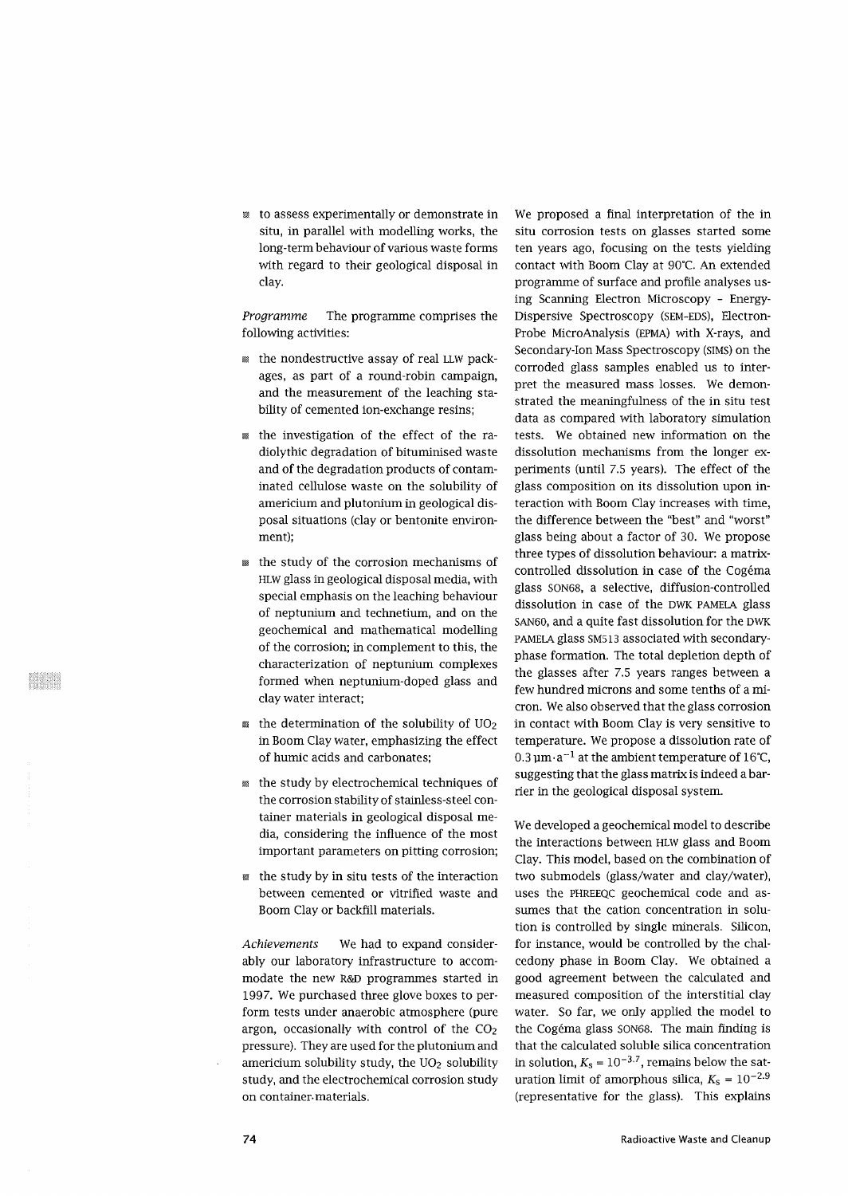• to assess experimentally or demonstrate in situ, in parallel with modelling works, the long-term behaviour of various waste forms with regard to their geological disposal in clay.

*Programme* The programme comprises the following activities:

- the nondestructive assay of real LLW packages, as part of a round-robin campaign, and the measurement of the leaching stability of cemented ion-exchange resins;
- the investigation of the effect of the radiolythic degradation of bituminised waste and of the degradation products of contaminated cellulose waste on the solubility of americium and plutonium in geological disposal situations (clay or bentonite environment);
- the study of the corrosion mechanisms of HLW glass in geological disposal media, with special emphasis on the leaching behaviour of neptunium and technetium, and on the geochemical and mathematical modelling of the corrosion; in complement to this, the characterization of neptunium complexes formed when neptunium-doped glass and clay water interact;
- $\mathbb{R}$  the determination of the solubility of UO<sub>2</sub> in Boom Clay water, emphasizing the effect of humic acids and carbonates;
- the study by electrochemical techniques of the corrosion stability of stainless-steel container materials in geological disposal media, considering the influence of the most important parameters on pitting corrosion;
- the study by in situ tests of the interaction between cemented or vitrified waste and Boom Clay or backfill materials.

*Achievements* We had to expand considerably our laboratory infrastructure to accommodate the new R&D programmes started in 1997. We purchased three glove boxes to perform tests under anaerobic atmosphere (pure argon, occasionally with control of the  $CO<sub>2</sub>$ pressure). They are used for the plutonium and americium solubility study, the  $UO<sub>2</sub>$  solubility study, and the electrochemical corrosion study on container-materials.

We proposed a final interpretation of the in situ corrosion tests on glasses started some ten years ago, focusing on the tests yielding contact with Boom Clay at 90°C. An extended programme of surface and profile analyses using Scanning Electron Microscopy - Energy-Dispersive Spectroscopy (SEM-EDS), Electron-Probe MicroAnalysis (EPMA) with X-rays, and Secondary-Ion Mass Spectroscopy (SIMS) on the corroded glass samples enabled us to interpret the measured mass losses. We demonstrated the meaningfulness of the in situ test data as compared with laboratory simulation tests. We obtained new information on the dissolution mechanisms from the longer experiments (until 7.5 years). The effect of the glass composition on its dissolution upon interaction with Boom Clay increases with time, the difference between the "best" and "worst" glass being about a factor of 30. We propose three types of dissolution behaviour: a matrixcontrolled dissolution in case of the Cogema glass SON68, a selective, diffusion-controlled dissolution in case of the DWK PAMELA glass SAN60, and a quite fast dissolution for the DWK PAMELA glass SM513 associated with secondaryphase formation. The total depletion depth of the glasses after 7.5 years ranges between a few hundred microns and some tenths of a micron. We also observed that the glass corrosion in contact with Boom Clay is very sensitive to temperature. We propose a dissolution rate of reflige temperature. The propose a dissolution rate of<br>0.3 um .a<sup>-1</sup> at the ambient temperature of 16°C suggesting that the glass matrix is indeed a barrier in the geological disposal system.

We developed a geochemical model to describe the interactions between HLW glass and Boom Clay. This model, based on the combination of two submodels (glass/water and clay/water), uses the PHREEQC geochemical code and assumes that the cation concentration in solution is controlled by single minerals. Silicon, for instance, would be controlled by the chalcedony phase in Boom Clay. We obtained a good agreement between the calculated and measured composition of the interstitial clay water. So far, we only applied the model to the Cogéma glass SON68. The main finding is that the calculated soluble silica concentration in solution,  $K_s = 10^{-3.7}$ , remains below the saturation limit of amorphous silica,  $K_s = 10^{-2.9}$ (representative for the glass). This explains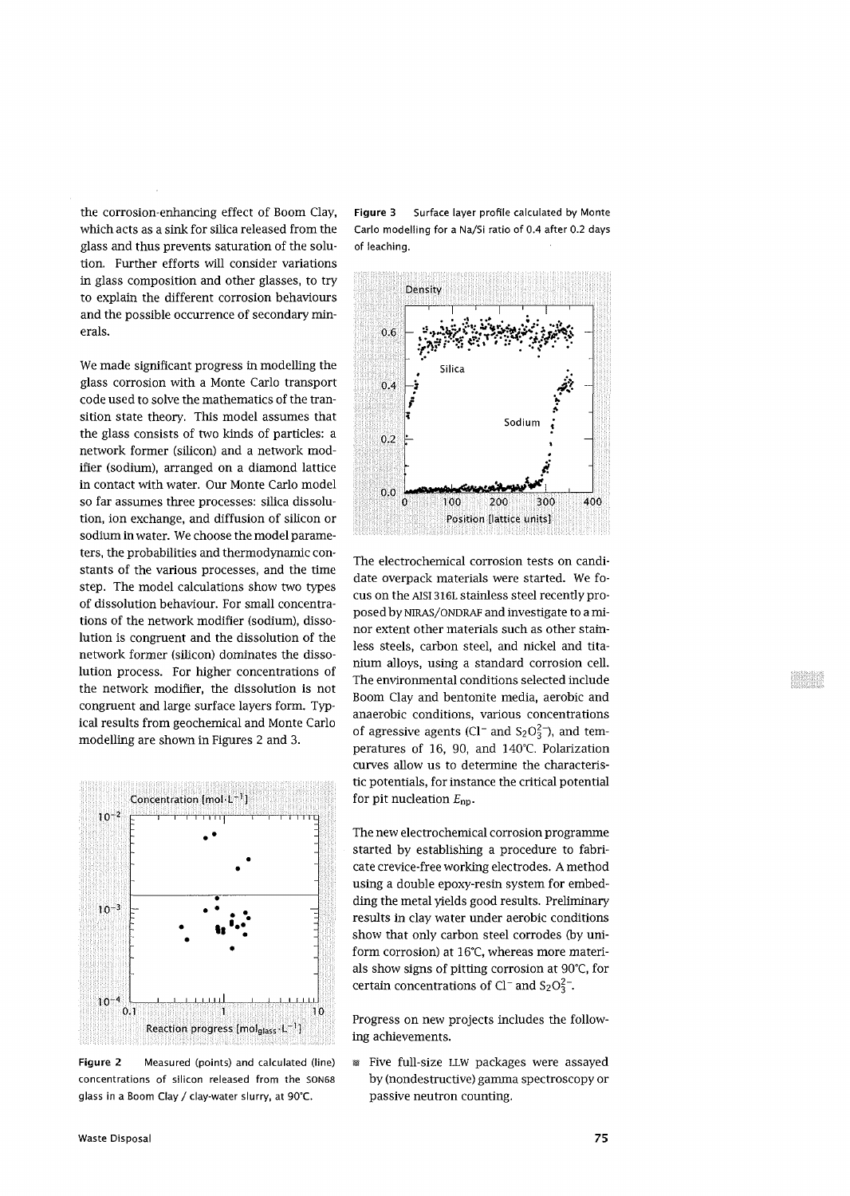the corrosion-enhancing effect of Boom Clay, which acts as a sink for silica released from the glass and thus prevents saturation of the solution. Further efforts will consider variations in glass composition and other glasses, to try to explain the different corrosion behaviours and the possible occurrence of secondary minerals.

We made significant progress in modelling the glass corrosion with a Monte Carlo transport code used to solve the mathematics of the transition state theory. This model assumes that the glass consists of two kinds of particles: a network former (silicon) and a network modifier (sodium), arranged on a diamond lattice in contact with water. Our Monte Carlo model so far assumes three processes: silica dissolution, ion exchange, and diffusion of silicon or sodium in water. We choose the model parameters, the probabilities and thermodynamic constants of the various processes, and the time step. The model calculations show two types of dissolution behaviour. For small concentrations of the network modifier (sodium), dissolution is congruent and the dissolution of the network former (silicon) dominates the dissolution process. For higher concentrations of the network modifier, the dissolution is not congruent and large surface layers form. Typical results from geochemical and Monte Carlo modelling are shown in Figures 2 and 3.



**Figure 2** Measured (points) and calculated (line) concentrations of silicon released from the SON68 glass in a Boom Clay / clay-water slurry, at 90'C.

**Figure** 3 Surface layer profile calculated by Monte Carlo modelling for a Na/Si ratio of 0.4 after 0.2 days of leaching.



The electrochemical corrosion tests on candidate overpack materials were started. We focus on the AISI316L stainless steel recently proposed by NIRAS/ONDRAF and investigate to a minor extent other materials such as other stainless steels, carbon steel, and nickel and titanium alloys, using a standard corrosion cell. The environmental conditions selected include Boom Clay and bentonite media, aerobic and anaerobic conditions, various concentrations of agressive agents (Cl<sup>-</sup> and S<sub>2</sub>O<sub>3</sub><sup>-</sup>), and temperatures of 16, 90, and 140°C. Polarization curves allow us to determine the characteristic potentials, for instance the critical potential for pit nucleation  $E_{\text{np}}$ .

The new electrochemical corrosion programme started by establishing a procedure to fabricate crevice-free working electrodes. A method using a double epoxy-resin system for embedding the metal yields good results. Preliminary results in clay water under aerobic conditions show that only carbon steel corrodes (by uniform corrosion) at 16°C, whereas more materials show signs of pitting corrosion at 90°C, for certain concentrations of Cl<sup>-</sup> and S<sub>2</sub>O<sub>3</sub><sup>-</sup>.

Progress on new projects includes the following achievements.

• Five full-size LLW packages were assayed by (nondestructive) gamma spectroscopy or passive neutron counting.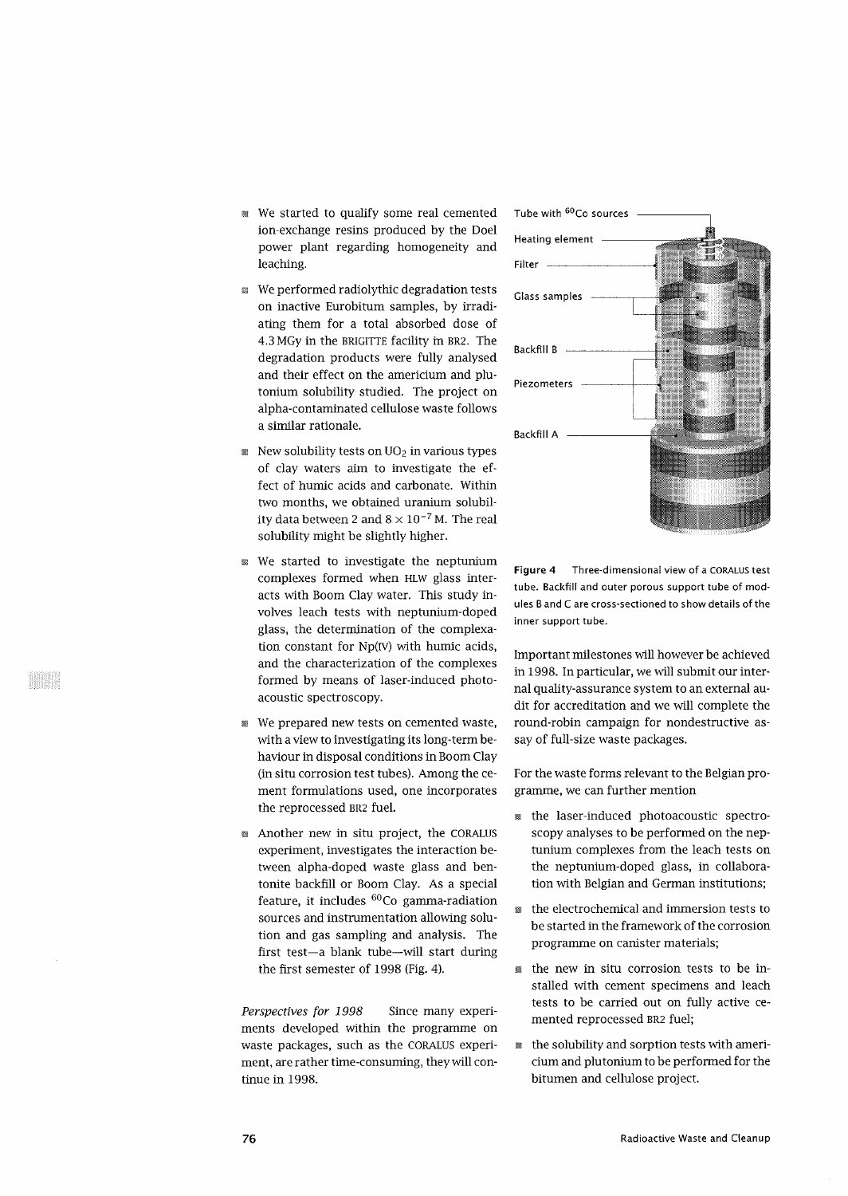- We started to qualify some real cemented ion-exchange resins produced by the Doel power plant regarding homogeneity and leaching.
- a We performed radiolythic degradation tests on inactive Eurobitum samples, by irradiating them for a total absorbed dose of 4.3 MGy in the BRIGITTE facility in BR2. The degradation products were fully analysed and their effect on the americium and plutonium solubility studied. The project on alpha-contaminated cellulose waste follows a similar rationale.
- $\mathbb{R}$  New solubility tests on UO<sub>2</sub> in various types of clay waters aim to investigate the effect of humic acids and carbonate. Within two months, we obtained uranium solubility data between 2 and  $8\times10^{-7}$  M. The real solubility might be slightly higher.
- *m* We started to investigate the neptunium complexes formed when HLW glass interacts with Boom Clay water. This study involves leach tests with neptunium-doped glass, the determination of the complexation constant for Np(rv) with humic acids, and the characterization of the complexes formed by means of laser-induced photoacoustic spectroscopy.
- We prepared new tests on cemented waste, with a view to investigating its long-term behaviour in disposal conditions in Boom Clay (in situ corrosion test tubes). Among the cement formulations used, one incorporates the reprocessed BR2 fuel.
- Another new in situ project, the CORALUS experiment, investigates the interaction between alpha-doped waste glass and bentonite backfill or Boom Clay. As a special feature, it includes <sup>60</sup>Co gamma-radiation sources and instrumentation allowing solution and gas sampling and analysis. The first test—a blank tube—will start during the first semester of 1998 (Fig. 4).

*Perspectives for 1998* Since many experiments developed within the programme on waste packages, such as the CORALUS experiment, are rather time-consuming, they will continue in 1998.



**Figure 4** Three-dimensional view of a CORALUS test tube. Backfill and outer porous support tube of modules B and C are cross-sectioned to show details of the inner support tube.

Important milestones will however be achieved in 1998. In particular, we will submit our internal quality-assurance system to an external audit for accreditation and we will complete the round-robin campaign for nondestructive assay of full-size waste packages.

For the waste forms relevant to the Belgian programme, we can further mention

- the laser-induced photoacoustic spectroscopy analyses to be performed on the neptunium complexes from the leach tests on the neptunium-doped glass, in collaboration with Belgian and German institutions;
- the electrochemical and immersion tests to be started in the framework of the corrosion programme on canister materials;
- the new in situ corrosion tests to be installed with cement specimens and leach tests to be carried out on fully active cemented reprocessed BR2 fuel;
- the solubility and sorption tests with americium and plutonium to be performed for the bitumen and cellulose project.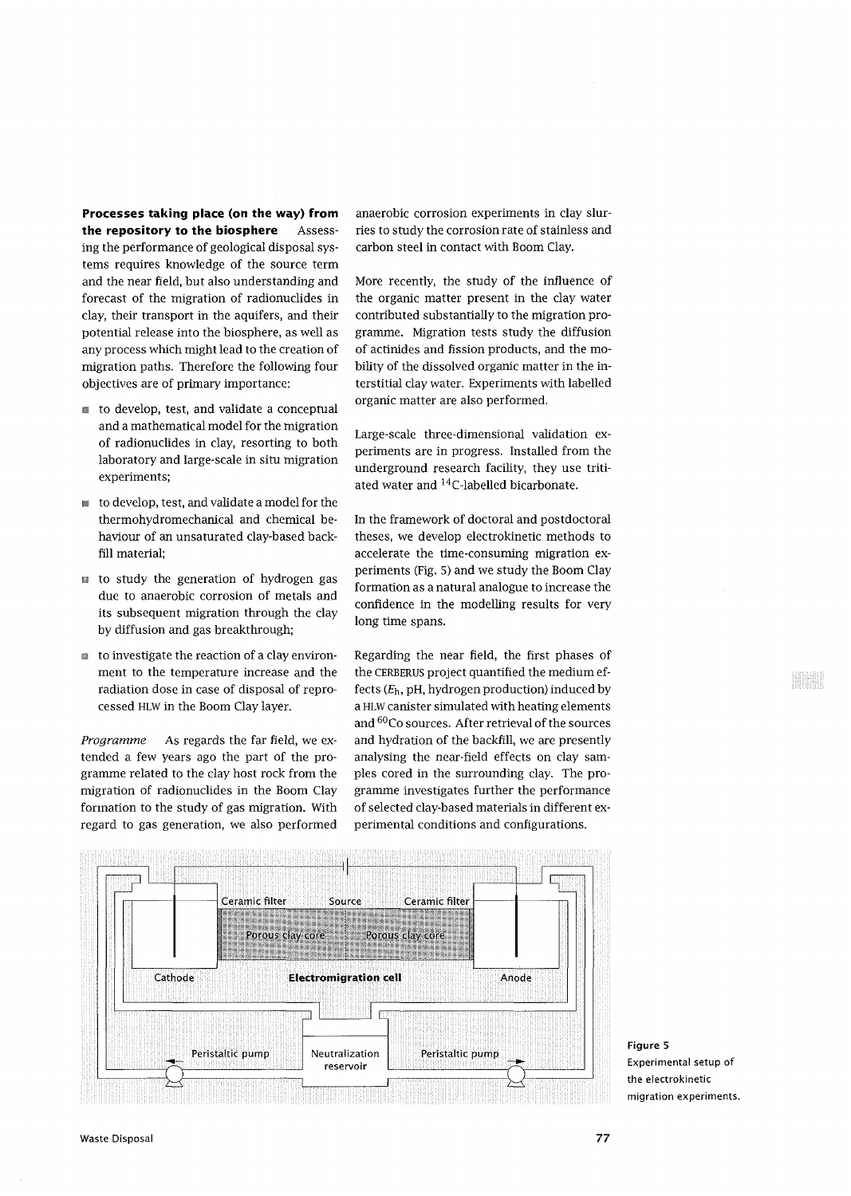**Processes taking place (on the way) from the repository to the biosphere** Assessing the performance of geological disposal systems requires knowledge of the source term and the near field, but also understanding and forecast of the migration of radionuclides in clay, their transport in the aquifers, and their potential release into the biosphere, as well as any process which might lead to the creation of migration paths. Therefore the following four objectives are of primary importance:

- to develop, test, and validate a conceptual and a mathematical model for the migration of radionuclides in clay, resorting to both laboratory and large-scale in situ migration experiments;
- to develop, test, and validate a model for the thermohydromechanical and chemical behaviour of an unsaturated clay-based backfill material;
- *m* to study the generation of hydrogen gas due to anaerobic corrosion of metals and its subsequent migration through the clay by diffusion and gas breakthrough;
- a to investigate the reaction of a clay environment to the temperature increase and the radiation dose in case of disposal of reprocessed HLW in the Boom Clay layer.

*Programme* As regards the far field, we extended a few years ago the part of the programme related to the clay host rock from the migration of radionuclides in the Boom Clay formation to the study of gas migration. With regard to gas generation, we also performed anaerobic corrosion experiments in clay slurries to study the corrosion rate of stainless and carbon steel in contact with Boom Clay.

More recently, the study of the influence of the organic matter present in the clay water contributed substantially to the migration programme. Migration tests study the diffusion of actinides and fission products, and the mobility of the dissolved organic matter in the interstitial clay water. Experiments with labelled organic matter are also performed.

Large-scale three-dimensional validation experiments are in progress. Installed from the underground research facility, they use tritiated water and <sup>14</sup>C-labelled bicarbonate.

In the framework of doctoral and postdoctoral theses, we develop electrokinetic methods to accelerate the time-consuming migration experiments (Fig. 5) and we study the Boom Clay formation as a natural analogue to increase the confidence in the modelling results for very long time spans.

Regarding the near field, the first phases of the CERBERUS project quantified the medium effects *(Eh,* pH, hydrogen production) induced by a HLW canister simulated with heating elements and <sup>60</sup>Co sources. After retrieval of the sources and hydration of the backfill, we are presently analysing the near-field effects on clay samples cored in the surrounding clay. The programme investigates further the performance of selected clay-based materials in different experimental conditions and configurations.



**Figure 5** Experimental setup of the electrokinetic migration experiments.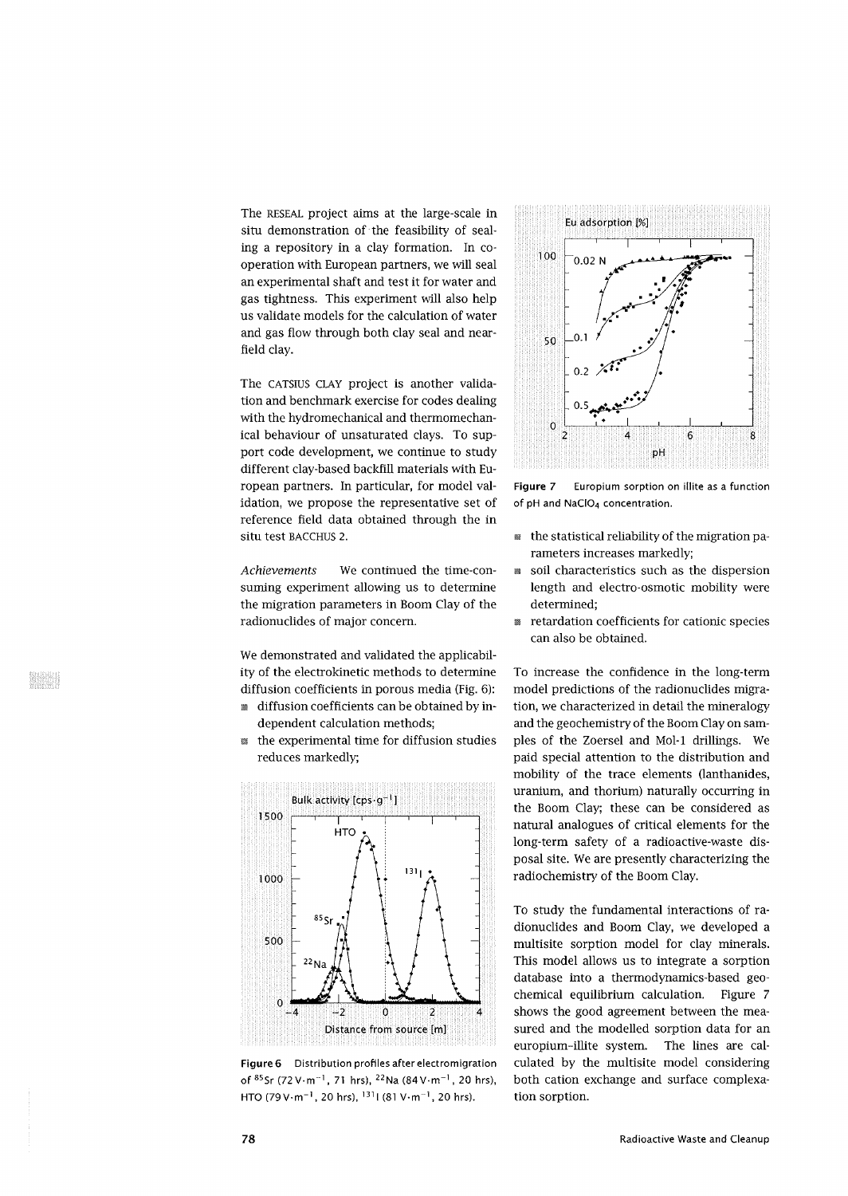The RESEAL project aims at the large-scale in situ demonstration of the feasibility of sealing a repository in a clay formation. In cooperation with European partners, we will seal an experimental shaft and test it for water and gas tightness. This experiment will also help us validate models for the calculation of water and gas flow through both clay seal and nearfield clay.

The CATSIUS CLAY project is another validation and benchmark exercise for codes dealing with the hydromechanical and thermomechanical behaviour of unsaturated clays. To support code development, we continue to study different clay-based backfill materials with European partners. In particular, for model validation, we propose the representative set of reference field data obtained through the in Situ test BACCHUS 2.

*Achievements* We continued the time-consuming experiment allowing us to determine the migration parameters in Boom Clay of the radionuclides of major concern.

We demonstrated and validated the applicability of the electrokinetic methods to determine diffusion coefficients in porous media (Fig. 6):

- diffusion coefficients can be obtained by independent calculation methods;
- $\mathbb B$  the experimental time for diffusion studies reduces markedly;



**Figure 6** Distribution profiles after electromigration of <sup>85</sup>Sr (72 V·m<sup>-1</sup>, 71 hrs), <sup>22</sup>Na (84 V·m<sup>-1</sup>, 20 hrs) HTO (79 V·m<sup>-1</sup>, 20 hrs), <sup>131</sup>l (81 V·m<sup>-1</sup>, 20 hrs).



**Figure** 7 Europium sorption on illite as a function of pH and NaClO<sub>4</sub> concentration.

- the statistical reliability of the migration parameters increases markedly;
- soil characteristics such as the dispersion length and electro-osmotic mobility were determined;
- **retardation coefficients for cationic species** can also be obtained.

To increase the confidence in the long-term model predictions of the radionuclides migration, we characterized in detail the mineralogy and the geochemistry of the Boom Clay on samples of the Zoersel and Mol-1 drillings. We paid special attention to the distribution and mobility of the trace elements (lanthanides, uranium, and thorium) naturally occurring in the Boom Clay; these can be considered as natural analogues of critical elements for the long-term safety of a radioactive-waste disposal site. We are presently characterizing the radiochemistry of the Boom Clay.

To study the fundamental interactions of radionuclides and Boom Clay, we developed a multisite sorption model for clay minerals. This model allows us to integrate a sorption database into a thermodynamics-based geochemical equilibrium calculation. Figure 7 shows the good agreement between the measured and the modelled sorption data for an europium-illite system. The lines are calculated by the multisite model considering both cation exchange and surface complexation sorption.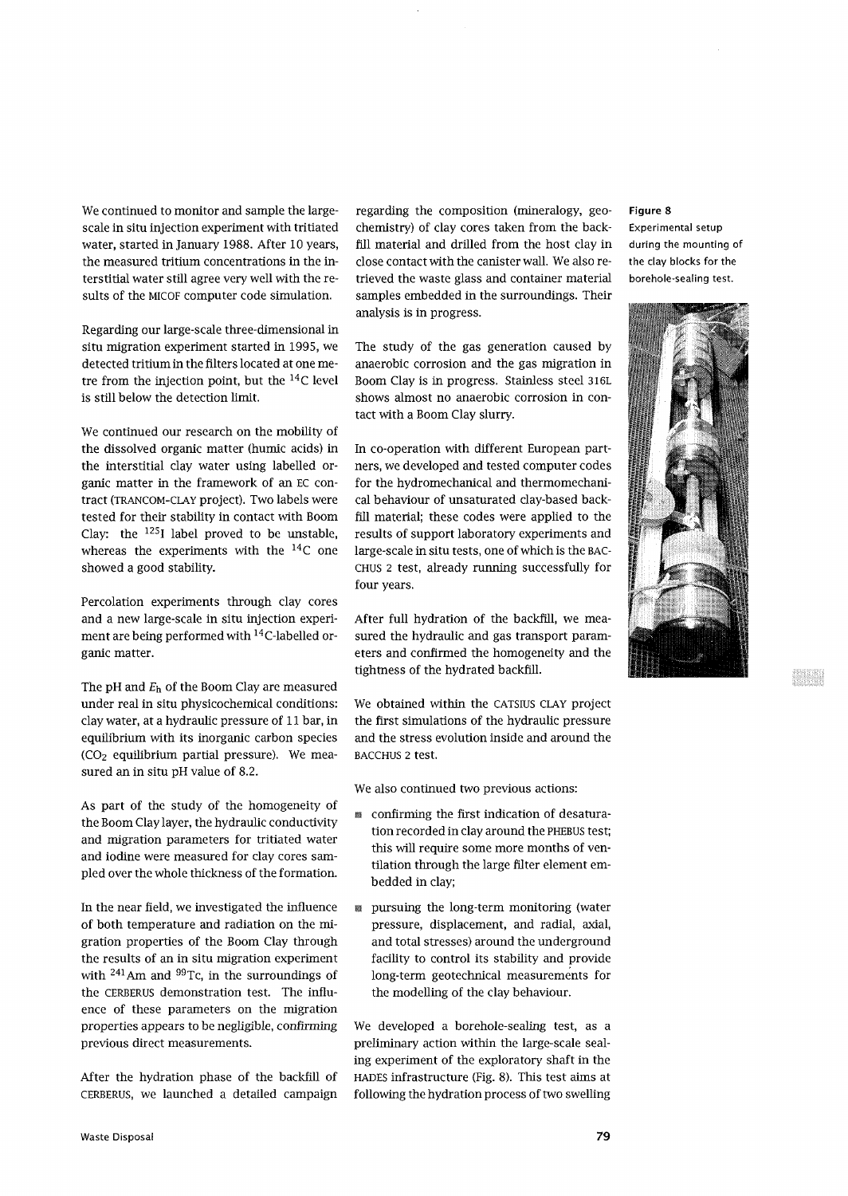We continued to monitor and sample the largescale in situ injection experiment with tritiated water, started in January 1988. After 10 years, the measured tritium concentrations in the interstitial water still agree very well with the results of the MICOF computer code simulation.

Regarding our large-scale three-dimensional in situ migration experiment started in 1995, we detected tritium in the filters located at one metre from the injection point, but the <sup>14</sup>C level is still below the detection limit.

We continued our research on the mobility of the dissolved organic matter (humic acids) in the interstitial clay water using labelled organic matter in the framework of an EC contract (TRANCOM-CLAY project). Two labels were tested for their stability in contact with Boom Clay: the  $125I$  label proved to be unstable, whereas the experiments with the  $^{14}$ C one showed a good stability.

Percolation experiments through clay cores and a new large-scale in situ injection experiment are being performed with <sup>14</sup>C-labelled organic matter.

The pH and  $E_h$  of the Boom Clay are measured under real in situ physicochemical conditions: clay water, at a hydraulic pressure of 11 bar, in equilibrium with its inorganic carbon species  $(CO<sub>2</sub>$  equilibrium partial pressure). We measured an in situ pH value of 8.2.

As part of the study of the homogeneity of the Boom Clay layer, the hydraulic conductivity and migration parameters for tritiated water and iodine were measured for clay cores sampled over the whole thickness of the formation.

In the near field, we investigated the influence of both temperature and radiation on the migration properties of the Boom Clay through the results of an in situ migration experiment with  $241$  Am and  $99$ Tc, in the surroundings of the CERBERUS demonstration test. The influence of these parameters on the migration properties appears to be negligible, confirming previous direct measurements.

After the hydration phase of the backfill of CERBERUS, we launched a detailed campaign

regarding the composition (mineralogy, geochemistry) of clay cores taken from the backfill material and drilled from the host clay in close contact with the canister wall. We also retrieved the waste glass and container material samples embedded in the surroundings. Their analysis is in progress.

The study of the gas generation caused by anaerobic corrosion and the gas migration in Boom Clay is in progress. Stainless steel 316L shows almost no anaerobic corrosion in contact with a Boom Clay slurry.

In co-operation with different European partners, we developed and tested computer codes for the hydromechanical and thermomechanical behaviour of unsaturated clay-based backfill material; these codes were applied to the results of support laboratory experiments and large-scale in situ tests, one of which is the BAC-CHUS 2 test, already running successfully for four years.

After full hydration of the backfill, we measured the hydraulic and gas transport parameters and confirmed the homogeneity and the tightness of the hydrated backfill.

We obtained within the CATSIUS CLAY project the first simulations of the hydraulic pressure and the stress evolution inside and around the BACCHUS 2 test.

We also continued two previous actions:

- confirming the first indication of desaturation recorded in clay around the PHEBUS test; this will require some more months of ventilation through the large filter element embedded in clay;
- pursuing the long-term monitoring (water pressure, displacement, and radial, axial, and total stresses) around the underground facility to control its stability and provide long-term geotechnical measurements for the modelling of the clay behaviour.

We developed a borehole-sealing test, as a preliminary action within the large-scale sealing experiment of the exploratory shaft in the HADES infrastructure (Fig. 8). This test aims at following the hydration process of two swelling

## **Figure 8**

Experimental setup during the mounting of the clay blocks for the borehole-sealing test.

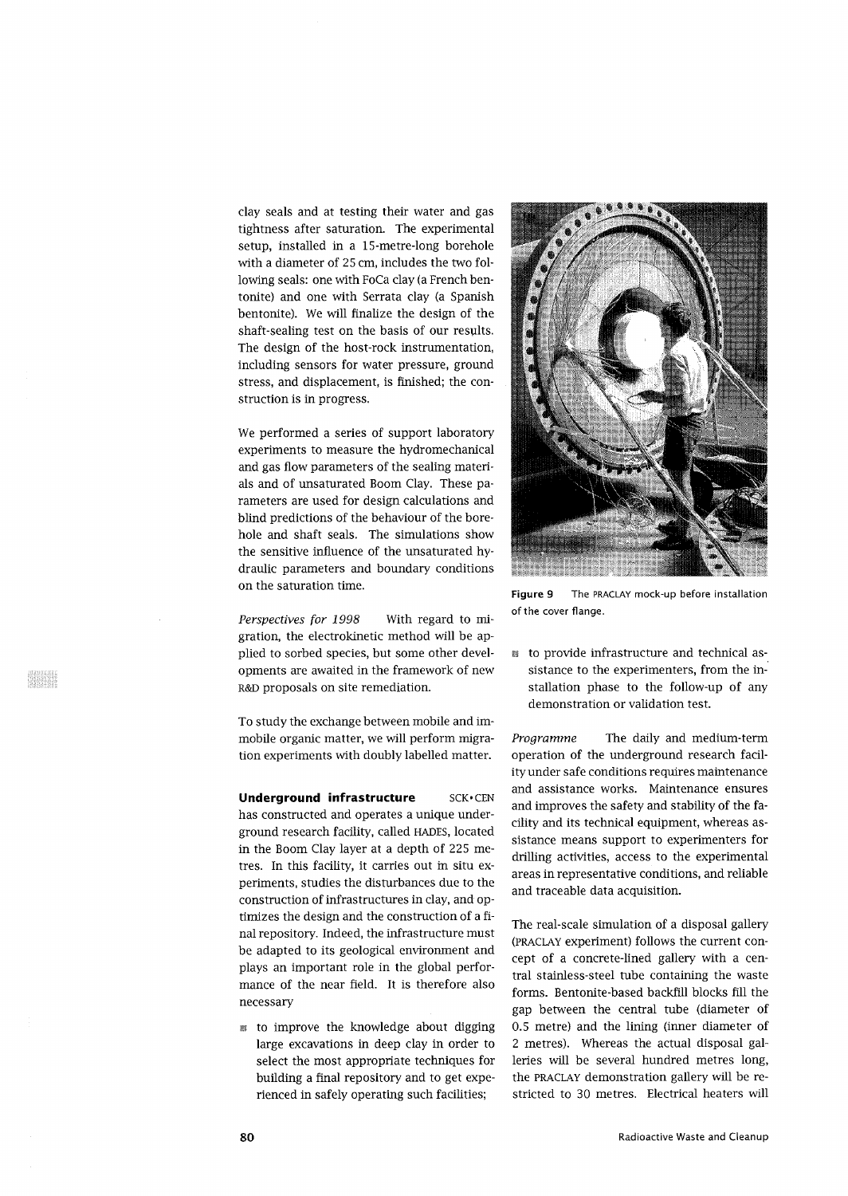clay seals and at testing their water and gas tightness after saturation. The experimental setup, installed in a 15-metre-long borehole with a diameter of 25 cm, includes the two following seals: one with FoCa clay (a French bentonite) and one with Serrata clay (a Spanish bentonite). We will finalize the design of the shaft-sealing test on the basis of our results. The design of the host-rock instrumentation, including sensors for water pressure, ground stress, and displacement, is finished; the construction is in progress.

We performed a series of support laboratory experiments to measure the hydromechanical and gas flow parameters of the sealing materials and of unsaturated Boom Clay. These parameters are used for design calculations and blind predictions of the behaviour of the borehole and shaft seals. The simulations show the sensitive influence of the unsaturated hydraulic parameters and boundary conditions on the saturation time.

*Perspectives for 1998* With regard to migration, the electrokinetic method will be applied to sorbed species, but some other developments are awaited in the framework of new R&D proposals on site remediation.

To study the exchange between mobile and immobile organic matter, we will perform migration experiments with doubly labelled matter.

**Underground infrastructure SCK.CEN** has constructed and operates a unique underground research facility, called HADES, located in the Boom Clay layer at a depth of 225 metres. In this facility, it carries out in situ experiments, studies the disturbances due to the construction of infrastructures in clay, and optimizes the design and the construction of a final repository. Indeed, the infrastructure must be adapted to its geological environment and plays an important role in the global performance of the near field. It is therefore also necessary

*m* to improve the knowledge about digging large excavations in deep clay in order to select the most appropriate techniques for building a final repository and to get experienced in safely operating such facilities;



Figure 9 The PRACLAY mock-up before installation of the cover flange.

• to provide infrastructure and technical assistance to the experimenters, from the installation phase to the follow-up of any demonstration or validation test.

*Programme* The daily and medium-term operation of the underground research facility under safe conditions requires maintenance and assistance works. Maintenance ensures and improves the safety and stability of the facility and its technical equipment, whereas assistance means support to experimenters for drilling activities, access to the experimental areas in representative conditions, and reliable and traceable data acquisition.

The real-scale simulation of a disposal gallery (PRACLAY experiment) follows the current concept of a concrete-lined gallery with a central stainless-steel tube containing the waste forms. Bentonite-based backfill blocks fill the gap between the central tube (diameter of 0.5 metre) and the lining (inner diameter of 2 metres). Whereas the actual disposal galleries will be several hundred metres long, the PRACLAY demonstration gallery will be restricted to 30 metres. Electrical heaters will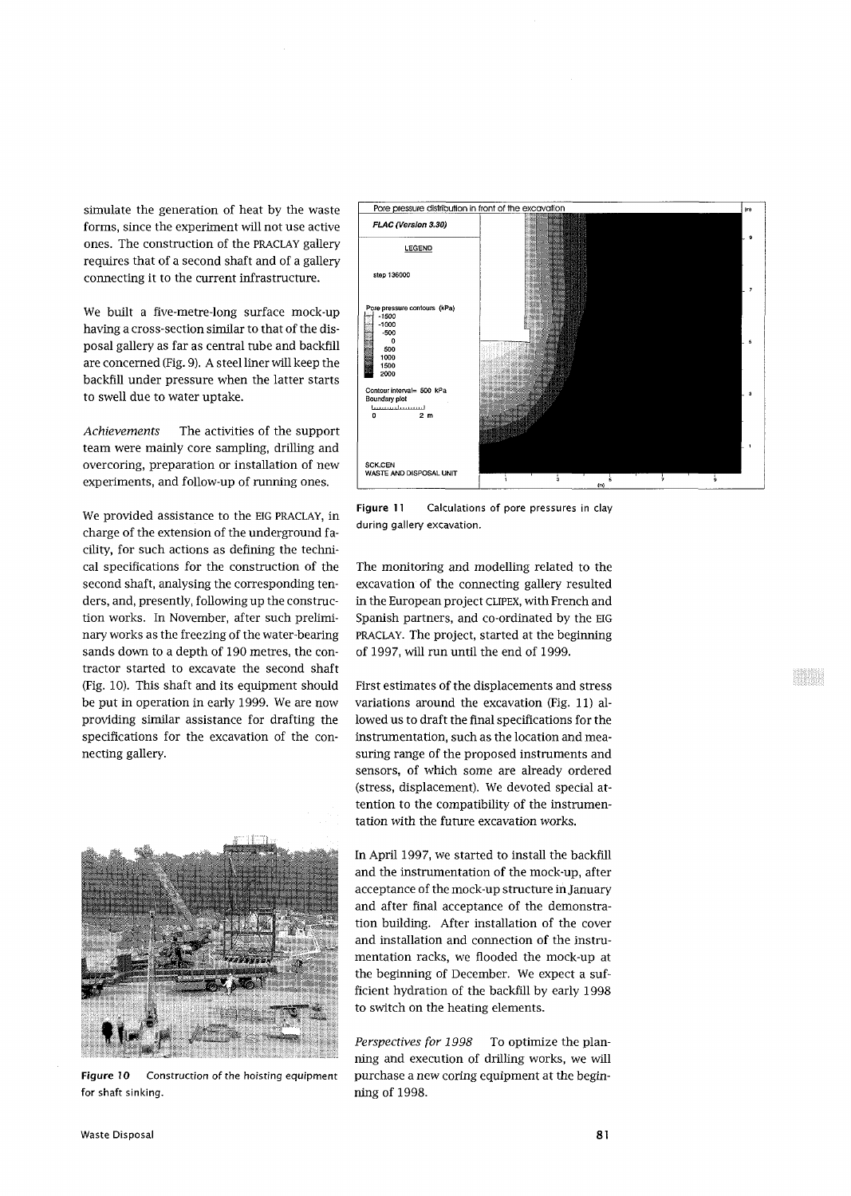simulate the generation of heat by the waste forms, since the experiment will not use active ones. The construction of the PRACLAY gallery requires that of a second shaft and of a gallery connecting it to the current infrastructure.

We built a five-metre-long surface mock-up having a cross-section similar to that of the disposal gallery as far as central tube and backfill are concerned (Fig. 9). A steel liner will keep the backfill under pressure when the latter starts to swell due to water uptake.

*Achievements* The activities of the support team were mainly core sampling, drilling and overcoring, preparation or installation of new experiments, and follow-up of running ones.

We provided assistance to the EIG PRACLAY, in charge of the extension of the underground facility, for such actions as defining the technical specifications for the construction of the second shaft, analysing the corresponding tenders, and, presently, following up the construction works. In November, after such preliminary works as the freezing of the water-bearing sands down to a depth of 190 metres, the contractor started to excavate the second shaft (Fig. 10). This shaft and its equipment should be put in operation in early 1999. We are now providing similar assistance for drafting the specifications for the excavation of the connecting gallery.



**Figure 10** Construction of the hoisting equipment for shaft sinking.



**Figure 11** Calculations of pore pressures in clay during gallery excavation.

The monitoring and modelling related to the excavation of the connecting gallery resulted in the European project CLIPEX, with French and Spanish partners, and co-ordinated by the EIG PRACLAY. The project, started at the beginning of 1997, will run until the end of 1999.

First estimates of the displacements and stress variations around the excavation (Fig. 11) allowed us to draft the final specifications for the instrumentation, such as the location and measuring range of the proposed instruments and sensors, of which some are already ordered (stress, displacement). We devoted special attention to the compatibility of the instrumentation with the future excavation works.

In April 1997, we started to install the backfill and the instrumentation of the mock-up, after acceptance of the mock-up structure in January and after final acceptance of the demonstration building. After installation of the cover and installation and connection of the instrumentation racks, we flooded the mock-up at the beginning of December. We expect a sufficient hydration of the backfill by early 1998 to switch on the heating elements.

*Perspectives for 1998* To optimize the planning and execution of drilling works, we will purchase a new coring equipment at the beginning of 1998.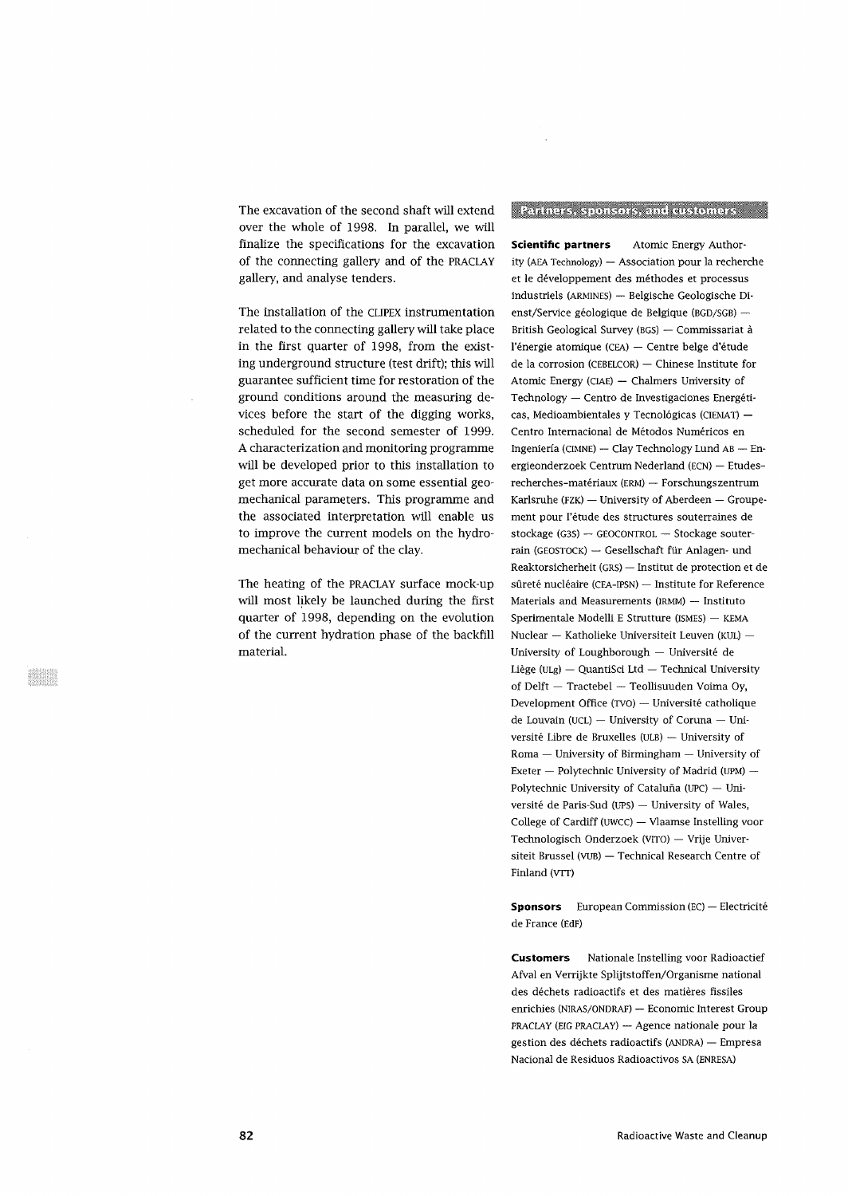The excavation of the second shaft will extend over the whole of 1998. In parallel, we will finalize the specifications for the excavation of the connecting gallery and of the PRACLAY gallery, and analyse tenders.

The installation of the CLIPEX instrumentation related to the connecting gallery will take place in the first quarter of 1998, from the existing underground structure (test drift); this will guarantee sufficient time for restoration of the ground conditions around the measuring devices before the start of the digging works, scheduled for the second semester of 1999. A characterization and monitoring programme will be developed prior to this installation to get more accurate data on some essential geomechanical parameters. This programme and the associated interpretation will enable us to improve the current models on the hydromechanical behaviour of the clay.

The heating of the PRACLAY surface mock-up will most likely be launched during the first quarter of 1998, depending on the evolution of the current hydration phase of the backfill material.

## Paniners, sponsors, and distomers

**Scientific partners** Atomic Energy Authority (AEA Technology) — Association pour la recherche et le developpement des methodes et processus industriels (ARMINES) — Belgische Geologische Dienst/Service géologique de Belgique (BGD/SGB) -British Geological Survey (BGS) — Commissariat a l'énergie atomique (CEA) — Centre belge d'étude de la corrosion (CEBELCOR) — Chinese Institute for Atomic Energy (CIAE) — Chalmers University of Technology — Centro de Investigaciones Energeticas, Medioambientales y Tecnológicas (CIEMAT) -Centro Internacional de Métodos Numéricos en Ingenieria (CIMNE) — Clay Technology Lund AB — Energieonderzoek Centrum Nederland (ECN) — Etudesrecherches-materiaux (ERM) — Forschungszentrum Karlsruhe (FZK) — University of Aberdeen — Groupement pour l'étude des structures souterraines de stockage (G3S) — GEOCONTROL — Stockage souterrain (GEOSTOCK) — Gesellschaft fur Anlagen- und Reaktorsicherheit (GRS) — Institut de protection et de sûreté nucléaire (CEA-IPSN) — Institute for Reference Materials and Measurements (IRMM) — Instituto Sperimentale Modelli E Strutture (ISMES) — KEMA Nuclear — Katholieke Universiteit Leuven (KUL) — University of Loughborough — Universite de Liege (ULg) — QuantiSci Ltd — Technical University of Delft — Tractebel — Teollisuuden Voima Oy, Development Office (TVO) — Universite catholique de Louvain (UCL) — University of Coruna — Universite Libre de Bruxelles (ULB) — University of Roma — University of Birmingham — University of Exeter — Polytechnic University of Madrid (UPM) — Polytechnic University of Cataluña (UPC) — Universite de Paris-Sud (UPS) — University of Wales, College of Cardiff (uwcc) — Vlaamse Instelling voor Technologisch Onderzoek (VITO) — Vrije Universiteit Brussel (VUB) — Technical Research Centre of Finland (VTT)

**Sponsors** European Commission (EC) — Electricite de France (EdF)

**Customers** Nationale Instelling voor Radioactief Afval en Verrijkte Splijtstoffen/Organisme national des déchets radioactifs et des matières fissiles enrichies (NIRAS/ONDRAF) - Economic Interest Group PRACLAY (EIG PRACLAY) — Agence nationale pour la gestion des dechets radioactifs (ANDRA) — Empresa Nacional de Residuos Radioactivos SA (ENRESA)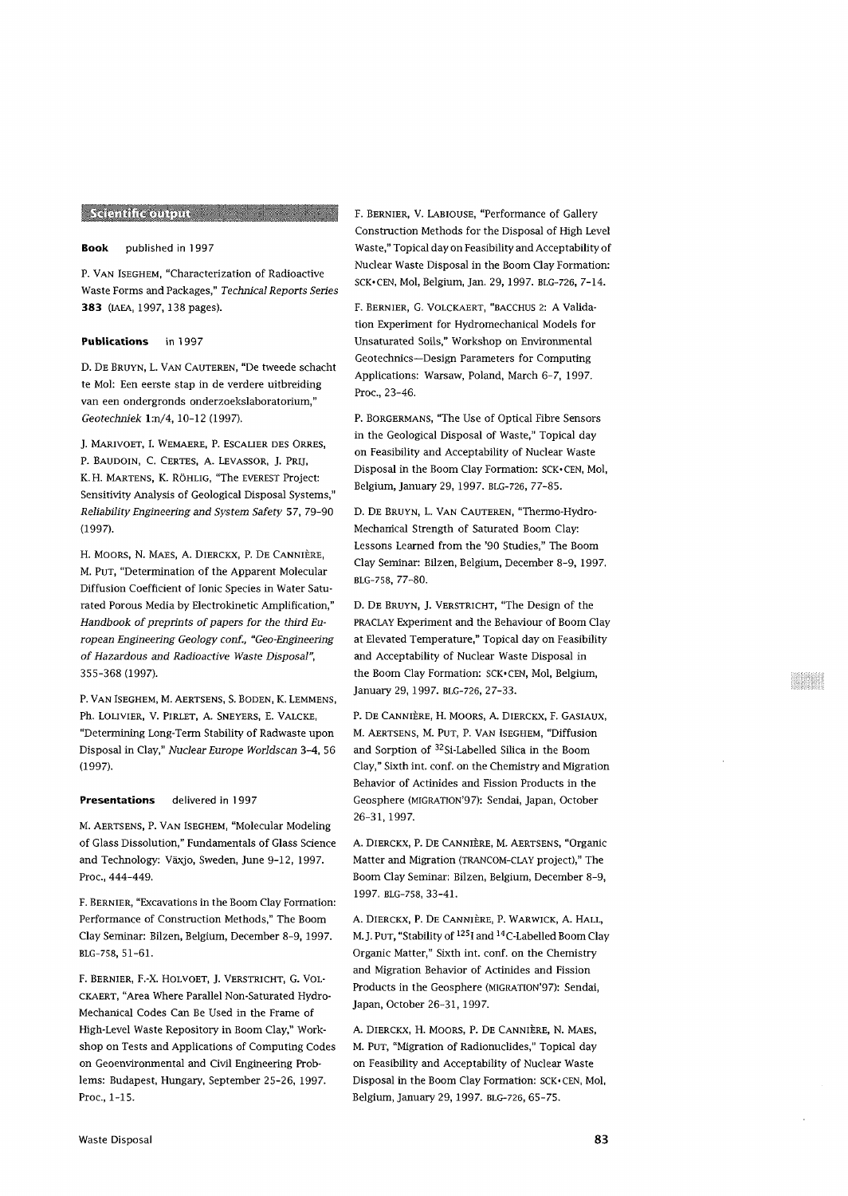# Scientific output and the contract of the

## Book published in 1997

P. VAN ISEGHEM, "Characterization of Radioactive Waste Forms and Packages," *Technical Reports Series* 383 (IAEA, 1997, 138 pages).

### Publications in 1997

D. DE BRUYN, L. VAN CAUTEREN, "De tweede schacht te Mol: Een eerste stap in de verdere uitbreiding van een ondergronds onderzoekslaboratorium," *Geotechniek* l:n/4, 10-12 (1997).

J. MARIVOET, I. WEMAERE, P. ESCALIER DES ORRES, P. BAUDOIN, C. CERTES, A. LEVASSOR, J. PRIJ, K. H. MARTENS, K. RÖHLIG, "The EVEREST Project: Sensitivity Analysis of Geological Disposal Systems," *Reliability Engineering and System Safety* 57, 79-90 (1997).

H. MOORS, N. MAES, A. DIERCKX, P. DE CANNIÈRE, M. PUT, "Determination of the Apparent Molecular Diffusion Coefficient of Ionic Species in Water Saturated Porous Media by Electrokinetic Amplification," *Handbook of preprints of papers for the third European Engineering Geology conf., "Geo-Engineering of Hazardous and Radioactive Waste Disposal",* 355-368 (1997).

P. VAN ISEGHEM, M. AERTSENS, S. BODEN, K. LEMMENS, Ph. LOLIVIER, V. PlRLET, A. SNEYERS, E. VALCKE, "Determining Long-Term Stability of Radwaste upon Disposal in Clay," *Nuclear Europe Worldscan* 3-4, 56 (1997).

#### Presentations delivered in 1997

M. AERTSENS, P. VAN ISEGHEM, "Molecular Modeling of Glass Dissolution," Fundamentals of Glass Science and Technology: Vaxjo, Sweden, June 9-12, 1997. Proc, 444-449.

F. BERNIER, "Excavations in the Boom Clay Formation: Performance of Construction Methods," The Boom Clay Seminar: Bilzen, Belgium, December 8-9, 1997. BLG-758, 51-61.

F. BERNIER, F.-X. HOLVOET, J. VERSTRICHT, G. VOL-CKAERT, "Area Where Parallel Non-Saturated Hydro-Mechanical Codes Can Be Used in the Frame of High-Level Waste Repository in Boom Clay," Workshop on Tests and Applications of Computing Codes on Geoenvironmental and Civil Engineering Problems: Budapest, Hungary, September 25-26, 1997. Proc, 1-15.

F. BERNIER, V. LABIOUSE, "Performance of Gallery Construction Methods for the Disposal of High Level Waste," Topical day on Feasibility and Acceptability of Nuclear Waste Disposal in the Boom Clay Formation: SCK>CEN, Mol, Belgium, Jan. 29, 1997. BLG-726, 7-14.

F. BERNIER, G. VOLCKAERT, "BACCHUS 2: A Validation Experiment for Hydromechanical Models for Unsaturated Soils," Workshop on Environmental Geotechnics—Design Parameters for Computing Applications: Warsaw, Poland, March 6-7, 1997. Proc., 23-46.

P. BORGERMANS, "The Use of Optical Fibre Sensors in the Geological Disposal of Waste," Topical day on Feasibility and Acceptability of Nuclear Waste Disposal in the Boom Clay Formation: SCK-CEN, Mol, Belgium, January 29, 1997. BLG-726, 77-85.

D. DE BRUYN, L. VAN CAUTEREN, "Thermo-Hydro-Mechanical Strength of Saturated Boom Clay: Lessons Learned from the '90 Studies," The Boom Clay Seminar: Bilzen, Belgium, December 8-9, 1997. BLG-758, 77-80.

D. DE BRUYN, J. VERSTRICHT, "The Design of the PRACLAY Experiment and the Behaviour of Boom Clay at Elevated Temperature," Topical day on Feasibility and Acceptability of Nuclear Waste Disposal in the Boom Clay Formation: SCK-CEN, Mol, Belgium, January 29, 1997. BLG-726, 27-33.

P. DE CANNIÈRE, H. MOORS, A. DIERCKX, F. GASIAUX, M. AERTSENS, M. PUT, P. VAN ISEGHEM, "Diffusion and Sorption of <sup>32</sup>Si-Labelled Silica in the Boom Clay," Sixth int. conf. on the Chemistry and Migration Behavior of Actinides and Fission Products in the Geosphere (MIGRATION'97): Sendai, Japan, October 26-31, 1997.

A. DIERCKX, P. DE CANNIÈRE, M. AERTSENS, "Organic Matter and Migration (TRANCOM-CLAY project)," The Boom Clay Seminar: Bilzen, Belgium, December 8-9, 1997. BLG-758, 33-41.

A. DIERCKX, P. DE CANNIÈRE, P. WARWICK, A. HALL, M. J. PUT, "Stability of <sup>125</sup>I and <sup>14</sup>C-Labelled Boom Clay Organic Matter," Sixth int. conf. on the Chemistry and Migration Behavior of Actinides and Fission Products in the Geosphere (MIGRATION'97): Sendai, Japan, October 26-31,1997.

A. DIERCKX, H. MOORS, P. DE CANNIÈRE, N. MAES, M. PUT, "Migration of Radionuclides," Topical day on Feasibility and Acceptability of Nuclear Waste Disposal in the Boom Clay Formation: SCK-CEN, Mol, Belgium, January 29, 1997. BLG-726, 65-75.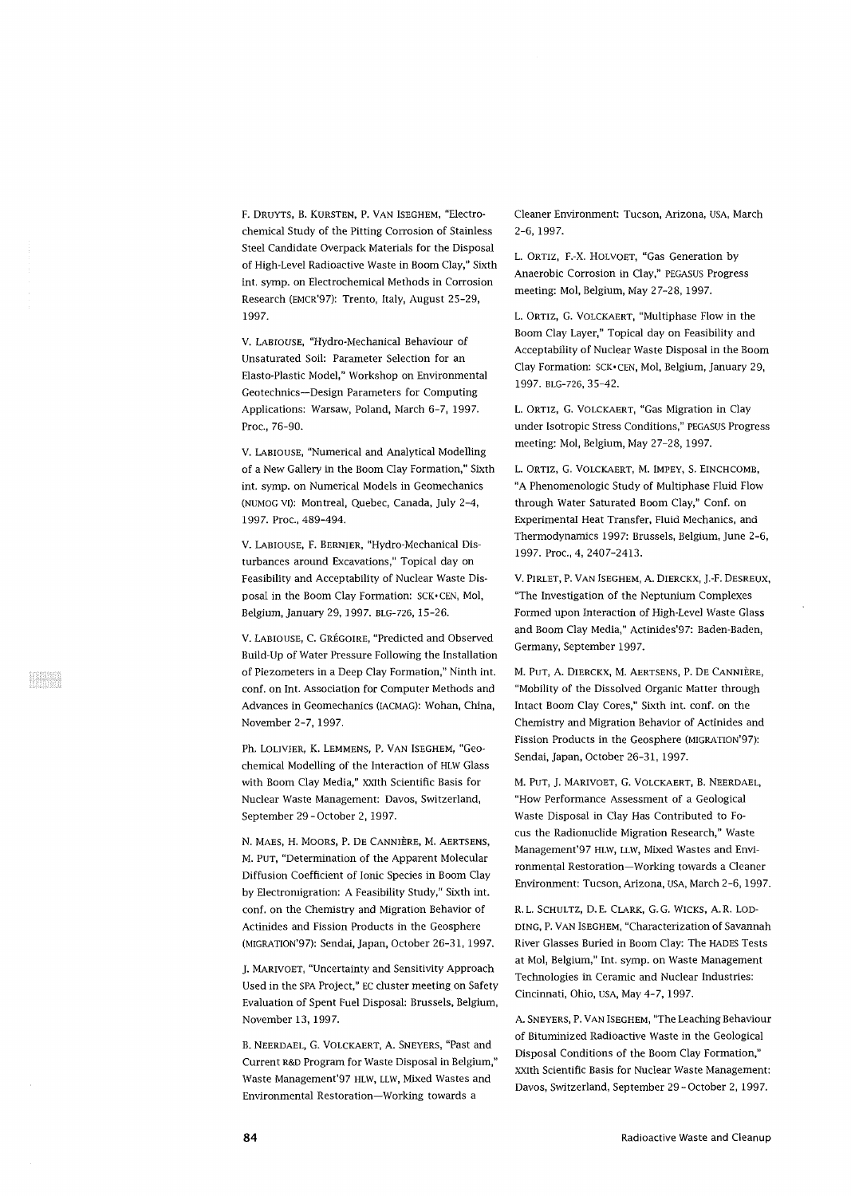F. DRUYTS, B. KURSTEN, P. VAN ISEGHEM, "Electrochemical Study of the Pitting Corrosion of Stainless Steel Candidate Overpack Materials for the Disposal of High-Level Radioactive Waste in Boom Clay," Sixth int. symp. on Electrochemical Methods in Corrosion Research (EMCR'97): Trento, Italy, August 25-29, 1997.

V. LABIOUSE, "Hydro-Mechanical Behaviour of Unsaturated Soil: Parameter Selection for an Elasto-Plastic Model," Workshop on Environmental Geotechnics—Design Parameters for Computing Applications: Warsaw, Poland, March 6-7, 1997. Proc, 76-90.

V. LABIOUSE, "Numerical and Analytical Modelling of a New Gallery in the Boom Clay Formation," Sixth int. symp. on Numerical Models in Geomechanics (NUMOG VI): Montreal, Quebec, Canada, July 2-4, 1997. Proc, 489-494.

V. LABIOUSE, F. BERNIER, "Hydro-Mechanical Disturbances around Excavations," Topical day on Feasibility and Acceptability of Nuclear Waste Disposal in the Boom Clay Formation: SCK- CEN, Mol, Belgium, January 29, 1997. BLG-726, 15-26.

V. LABIOUSE, C. GREGOIRE, "Predicted and Observed Build-Up of Water Pressure Following the Installation of Piezometers in a Deep Clay Formation," Ninth int. conf. on Int. Association for Computer Methods and Advances in Geomechanics (IACMAG): Wohan, China, November 2-7, 1997.

Ph. LOLIVIER, K. LEMMENS, P. VAN ISEGHEM, "GeOchemical Modelling of the Interaction of HLW Glass with Boom Clay Media," xxith Scientific Basis for Nuclear Waste Management: Davos, Switzerland, September 29-October 2, 1997.

N. MAES, H. MOORS, P. DE CANNIERE, M. AERTSENS, M. PUT, "Determination of the Apparent Molecular Diffusion Coefficient of Ionic Species in Boom Clay by Electromigration: A Feasibility Study," Sixth int. conf. on the Chemistry and Migration Behavior of Actinides and Fission Products in the Geosphere (MIGRATION'97): Sendai, Japan, October 26-31, 1997.

J. MARIVOET, "Uncertainty and Sensitivity Approach Used in the SPA Project," EC cluster meeting on Safety Evaluation of Spent Fuel Disposal: Brussels, Belgium, November 13, 1997.

B. NEERDAEL, G. VOLCKAERT, A. SNEYERS, "Past and Current R&D Program for Waste Disposal in Belgium," Waste Management'97 HLW, LLW, Mixed Wastes and Environmental Restoration—Working towards a

Cleaner Environment: Tucson, Arizona, USA, March 2-6, 1997.

L. ORTIZ, F.-X. HOLVOET, "Gas Generation by Anaerobic Corrosion in Clay," PEGASUS Progress meeting: Mol, Belgium, May 27-28, 1997.

L. ORTIZ, G. VOLCKAERT, "Multiphase Flow in the Boom Clay Layer," Topical day on Feasibility and Acceptability of Nuclear Waste Disposal in the Boom Clay Formation: SCK-CEN, Mol, Belgium, January 29, 1997. BLG-726, 35-42.

L. ORTIZ, G. VOLCKAERT, "Gas Migration in Clay under Isotropic Stress Conditions," PEGASUS Progress meeting: Mol, Belgium, May 27-28, 1997.

L. ORTIZ, G. VOLCKAERT, M. IMPEY, S. EINCHCOMB, "A Phenomenologic Study of Multiphase Fluid Flow through Water Saturated Boom Clay," Conf. on Experimental Heat Transfer, Fluid Mechanics, and Thermodynamics 1997: Brussels, Belgium, June 2-6, 1997. Proc., 4, 2407-2413.

V. PIRLET, P. VAN ISEGHEM, A. DIERCKX, J.-F. DESREUX, "The Investigation of the Neptunium Complexes Formed upon Interaction of High-Level Waste Glass and Boom Clay Media," Actinides'97: Baden-Baden, Germany, September 1997.

M. PUT, A. DIERCKX, M. AERTSENS, P. DE CANNIERE, "Mobility of the Dissolved Organic Matter through Intact Boom Clay Cores," Sixth int. conf. on the Chemistry and Migration Behavior of Actinides and Fission Products in the Geosphere (MIGRATION'97): Sendai, Japan, October 26-31, 1997.

M. PUT, J. MARIVOET, G. VOLCKAERT, B. NEERDAEL, "How Performance Assessment of a Geological Waste Disposal in Clay Has Contributed to Focus the Radionuclide Migration Research," Waste Management'97 HLW, LLW, Mixed Wastes and Environmental Restoration—Working towards a Cleaner Environment: Tucson, Arizona, USA, March 2-6, 1997.

R.L. SCHULTZ, D.E. CLARK, G.G. WICKS, A.R. LOD-DING, P. VAN ISEGHEM, "Characterization of Savannah River Glasses Buried in Boom Clay: The HADES Tests at Mol, Belgium," Int. symp. on Waste Management Technologies in Ceramic and Nuclear Industries: Cincinnati, Ohio, USA, May 4-7, 1997.

A. SNEYERS, P. VAN ISEGHEM, "The Leaching Behaviour of Bituminized Radioactive Waste in the Geological Disposal Conditions of the Boom Clay Formation," XXIth Scientific Basis for Nuclear Waste Management: Davos, Switzerland, September 29-October 2, 1997.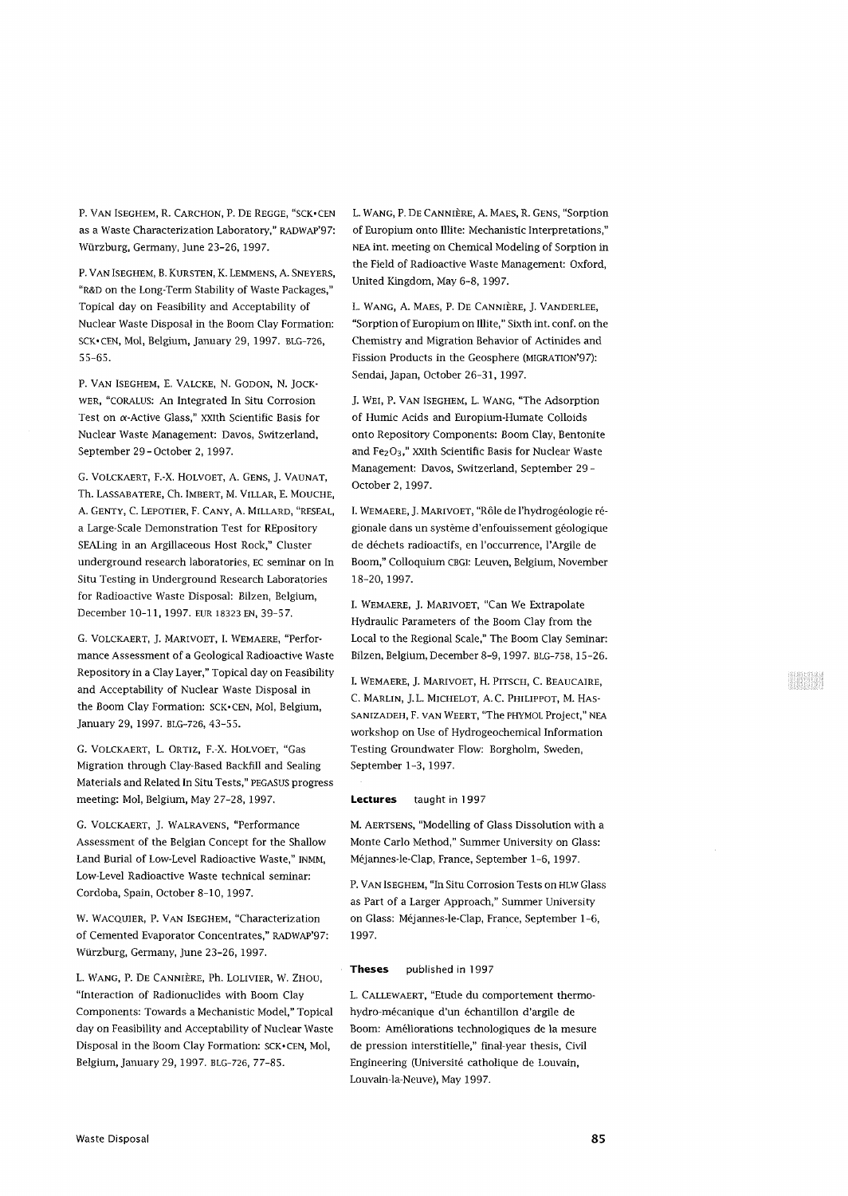P. VAN ISEGHEM, R. CARCHON, P. DE REGGE, "SCK-CEN as a Waste Characterization Laboratory," RADWAP'97: Wurzburg, Germany, June 23-26, 1997.

P. VAN ISEGHEM, B. KURSTEN, K. LEMMENS, A. SNEYERS, "R&D on the Long-Term Stability of Waste Packages," Topical day on Feasibility and Acceptability of Nuclear Waste Disposal in the Boom Clay Formation: SCK-CEN, Mol, Belgium, January 29, 1997. BLG-726, 55-65.

P. VAN ISEGHEM, E. VALCKE, N. GODON, N. JOCK-WER, "CORALUS: An Integrated In Situ Corrosion Test on  $\alpha$ -Active Glass," XXIth Scientific Basis for Nuclear Waste Management: Davos, Switzerland, September 29-October 2, 1997.

G. VOLCKAERT, F.-X. HOLVOET, A. GENS, J. VAUNAT, Th. LASSABATERE, Ch. IMBERT, M. VILLAR, E. MOUCHE, A. GENTY, C. LEPOTIER, F. CANY, A. MILLARD, "RESEAL, a Large-Scale Demonstration Test for REpository SEALing in an Argillaceous Host Rock," Cluster underground research laboratories, EC seminar on In Situ Testing in Underground Research Laboratories for Radioactive Waste Disposal: Bilzen, Belgium, December 10-11, 1997. EUR 18323 EN, 39-57.

G. VOLCKAERT, J. MARIVOET, I. WEMAERE, "Performance Assessment of a Geological Radioactive Waste Repository in a Clay Layer," Topical day on Feasibility and Acceptability of Nuclear Waste Disposal in the Boom Clay Formation: SCK-CEN, Mol, Belgium, January 29, 1997. BLG-726, 43-55.

G. VOLCKAERT, L. ORTIZ, F.-X. HOLVOET, "Gas Migration through Clay-Based Backfill and Sealing Materials and Related In Situ Tests," PEGASUS progress meeting: Mol, Belgium, May 27-28, 1997.

G. VOLCKAERT, J. WALRAVENS, "Performance Assessment of the Belgian Concept for the Shallow Land Burial of Low-Level Radioactive Waste," INMM, Low-Level Radioactive Waste technical seminar: Cordoba, Spain, October 8-10, 1997.

W. WACQUIER, P. VAN ISEGHEM, "Characterization of Cemented Evaporator Concentrates," RADWAP'97: Wurzburg, Germany, June 23-26, 1997.

L. WANG, P. DE CANNIERE, Ph. LOLIVIER, W. ZHOU, "Interaction of Radionuclides with Boom Clay Components: Towards a Mechanistic Model," Topical day on Feasibility and Acceptability of Nuclear Waste Disposal in the Boom Clay Formation: SCK-CEN, Mol, Belgium, January 29, 1997. BLG-726, 77-85.

L. WANG, P. DE CANNIERE, A. MAES, R. GENS, "Sorption of Europium onto Mite: Mechanistic Interpretations," NEA int. meeting on Chemical Modeling of Sorption in the Field of Radioactive Waste Management: Oxford, United Kingdom, May 6-8, 1997.

L. WANG, A. MAES, P. DE CANNIERE, J. VANDERLEE, "Sorption of Europium on Mite," Sixth int. conf. on the Chemistry and Migration Behavior of Actinides and Fission Products in the Geosphere (MIGRATION'97): Sendai, Japan, October 26-31,1997.

J. WEI, P. VAN ISEGHEM, L. WANG, "The Adsorption of Humic Acids and Europium-Humate Colloids onto Repository Components: Boom Clay, Bentonite and  $Fe<sub>2</sub>O<sub>3</sub>$ ," XXIth Scientific Basis for Nuclear Waste Management: Davos, Switzerland, September 29 - October 2, 1997.

I. WEMAERE, J. MARIVOET, "Rôle de l'hydrogéologie régionale dans un système d'enfouissement géologique de dechets radioactifs, en l'occurrence, l'Argile de Boom," Colloquium CBGI: Leuven, Belgium, November 18-20, 1997.

I. WEMAERE, J. MARIVOET, "Can We Extrapolate Hydraulic Parameters of the Boom Clay from the Local to the Regional Scale," The Boom Clay Seminar: Bilzen, Belgium, December 8-9, 1997. BLG-758, 15-26.

I. WEMAERE, J. MARIVOET, H. PITSCH, C. BEAUCAIRE, C. MARLIN, J.L. MICHELOT, A.C. PHILIPPOT, M. HAS-SANIZADEH, F. VAN WEERT, "The PHYMOL Project," NEA workshop on Use of Hydrogeochemical Information Testing Groundwater Flow: Borgholm, Sweden, September 1-3, 1997.

## **Lectures** taught in 1997

M. AERTSENS, "Modelling of Glass Dissolution with a Monte Carlo Method," Summer University on Glass: Mejannes-le-Clap, France, September 1-6, 1997.

P. VAN ISEGHEM, "In Situ Corrosion Tests on HLW Glass as Part of a Larger Approach," Summer University on Glass: Mejannes-le-Clap, France, September 1-6, 1997.

## **Theses** published in 1997

L. CALLEWAERT, "Etude du comportement thermohydro-mécanique d'un échantillon d'argile de Boom: Ameliorations technologiques de la mesure de pression interstitielle," final-year thesis, Civil Engineering (Universite catholique de Louvain, Louvain-la-Neuve), May 1997.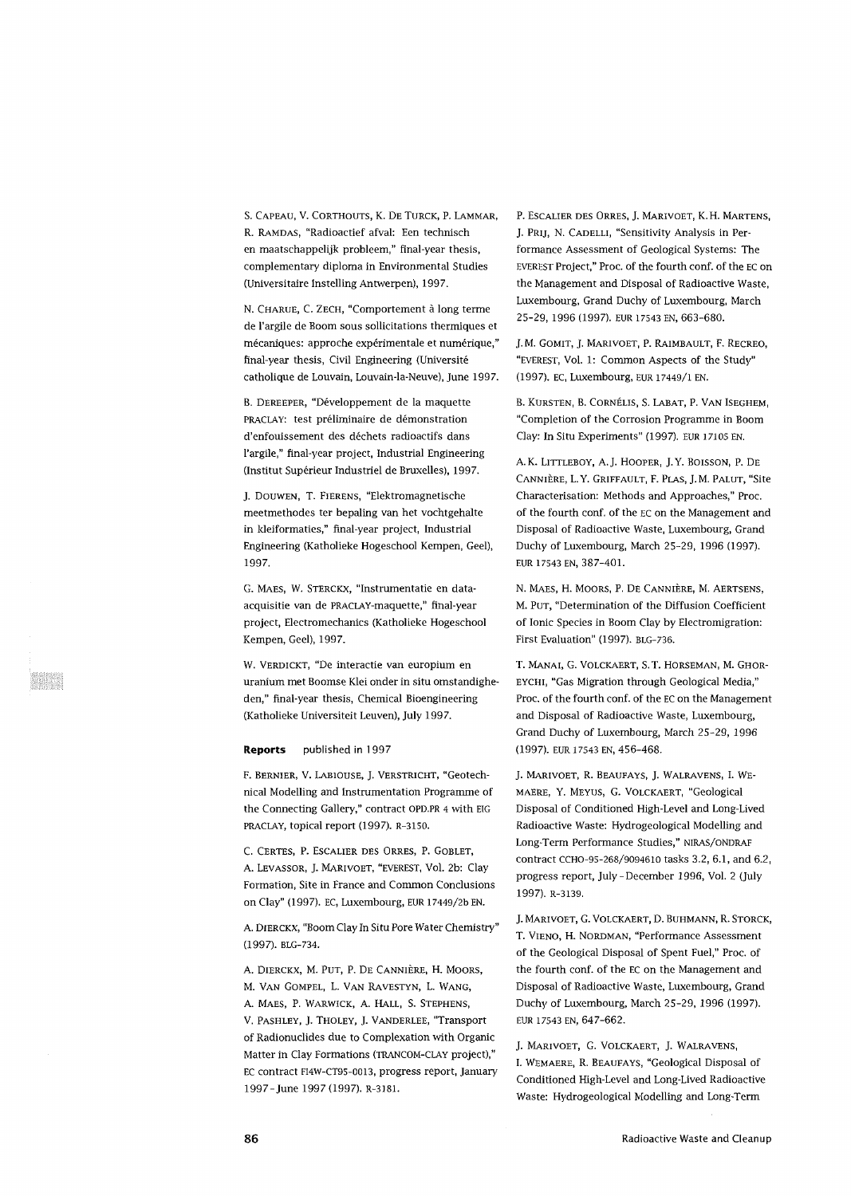S. CAPEAU, V. CORTHOUTS, K. DE TORCK, P. LAMMAR, R. RAMDAS, "Radioactief afval: Een technisch en maatschappelijk probleem," final-year thesis, complementary diploma in Environmental Studies (Universitaire Instelling Antwerpen), 1997.

N. CHARUE, C. ZECH, "Comportement à long terme de l'argile de Boom sous sollicitations thermiques et mécaniques: approche expérimentale et numérique," final-year thesis, Civil Engineering (Université catholique de Louvain, Louvain-la-Neuve), June 1997.

B. DEREEPER, "Développement de la maquette PRACLAY: test préliminaire de démonstration d'enfouissement des déchets radioactifs dans l'argile," final-year project, Industrial Engineering (Institut Supérieur Industriel de Bruxelles), 1997.

J. DOUWEN, T. FIERENS, "Elektromagnetische meetmethodes ter bepaling van het vochtgehalte in kleiformaties," final-year project, Industrial Engineering (Katholieke Hogeschool Kempen, Geel), 1997.

G. MAES, W. STERCKX, "Instrumentatie en dataacquisitie van de PRACLAY-maquette," final-year project, Electromechanics (Katholieke Hogeschool Kempen, Geel), 1997.

W. VERDICKT, "De interactie van europium en uranium met Boomse Klei onder in situ omstandigheden," final-year thesis, Chemical Bioengineering (Katholieke Universiteit Leuven), July 1997.

## **Reports** published in 1997

F. BERNIER, V. LABIOUSE, J. VERSTRICHT, "Geotechnical Modelling and Instrumentation Programme of the Connecting Gallery," contract OPD.PR 4 with EIG PRACLAY, topical report (1997). R-3150.

C. CERTES, P. ESCALIER DES ORRES, P. GOBLET, A. LEVASSOR, J. MARIVOET, "EVEREST, Vol. 2b: Clay Formation, Site in France and Common Conclusions on Clay" (1997). EC, Luxembourg, EUR l7449/2b EN.

A. DIERCKX, "Boom Clay In Situ Pore Water Chemistry" (1997). BLG-734.

A. DIERCKX, M. PUT, P. DE CANNIÈRE, H. MOORS, M. VAN GOMPEL, L. VAN RAVESTYN, L. WANG, A. MAES, P. WARWICK, A. HALL, S. STEPHENS, V. PASHLEY, J. THOLEY, J. VANDERLEE, "Transport of Radionuclides due to Complexation with Organic Matter in Clay Formations (TRANCOM-CLAY project)," EC contract F14W-CT95-0013, progress report, January 1997-June 1997 (1997). R-3181.

P. ESCALIER DES ORRES, J. MARIVOET, K.H. MARTENS, J. PRIJ, N. CADELLI, "Sensitivity Analysis in Performance Assessment of Geological Systems: The EVEREST Project," Proc. of the fourth conf. of the EC on the Management and Disposal of Radioactive Waste, Luxembourg, Grand Duchy of Luxembourg, March 25-29, 1996 (1997). EUR 17543 EN, 663-680.

J. M. GOMIT, J. MARIVOET, P. RAIMBAULT, F. RECREO, "EVEREST, Vol. 1: Common Aspects of the Study" (1997). EC, Luxembourg, EUR 17449/1 EN.

B. KURSTEN, B. CORNÉLIS, S. LABAT, P. VAN ISEGHEM, "Completion of the Corrosion Programme in Boom Clay: In Situ Experiments" (1997). EUR 17105 EN.

A. K. LITTLEBOY, A.J. HOOPER, J.Y. BOISSON, P. DE CANNIÈRE, L.Y. GRIFFAULT, F. PLAS, J. M. PALUT, "Site Characterisation: Methods and Approaches," Proc. of the fourth conf. of the EC on the Management and Disposal of Radioactive Waste, Luxembourg, Grand Duchy of Luxembourg, March 25-29, 1996 (1997). EUR 17543 EN, 387-401.

N. MAES, H. MOORS, P. DE CANNIÈRE, M. AERTSENS, M. PUT, "Determination of the Diffusion Coefficient of Ionic Species in Boom Clay by Electromigration: First Evaluation" (1997). BLG-736.

T. MANAI, G. VOLCKAERT, S.T. HORSEMAN, M. GHOR-EYCHI, "Gas Migration through Geological Media," Proc. of the fourth conf. of the EC on the Management and Disposal of Radioactive Waste, Luxembourg, Grand Duchy of Luxembourg, March 25-29, 1996 (1997). EUR 17543 EN, 456-468.

J. MARIVOET, R. BEAUFAYS, J. WALRAVENS, I. WE-MAERE, Y. MEYUS, G. VOLCKAERT, "Geological Disposal of Conditioned High-Level and Long-Lived Radioactive Waste: Hydrogeological Modelling and Long-Term Performance Studies," NIRAS/ONDRAF contract CCHO-95-268/9094610 tasks 3.2, 6.1, and 6.2, progress report, July - December 1996, Vol. 2 (July 1997). R-3139.

J. MARIVOET, G. VOLCKAERT, D. BUHMANN, R. STORCK, T. VIENO, H. NORDMAN, "Performance Assessment of the Geological Disposal of Spent Fuel," Proc. of the fourth conf. of the EC on the Management and Disposal of Radioactive Waste, Luxembourg, Grand Duchy of Luxembourg, March 25-29, 1996 (1997). EUR 17543 EN, 647-662.

J. MARIVOET, G. VOLCKAERT, J. WALRAVENS, I. WEMAERE, R. BEAUFAYS, "Geological Disposal of Conditioned High-Level and Long-Lived Radioactive Waste: Hydrogeological Modelling and Long-Term